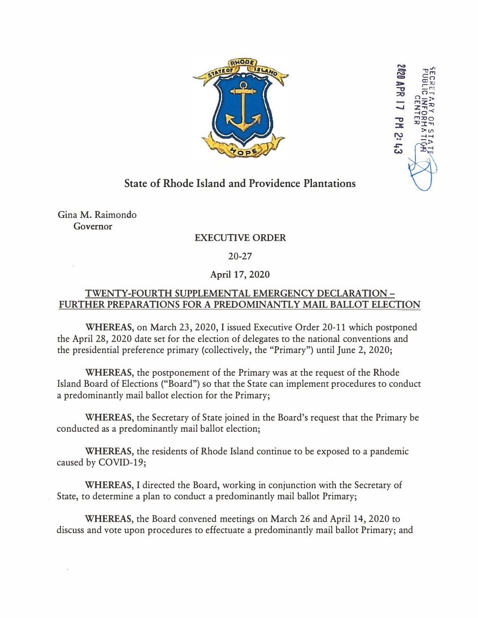

<u>ِي</u>

� *-,,J•*  c: =»

ay as<br>Diensi

 $\frac{5}{2}$ <br> $\frac{17}{2}$  $\frac{2}{3}$ 

l'Tl

 $\Omega$ -i n\_'!',, **l""IZ�**   $\overline{z}$  $\overline{z}$  $\overline{z}$  $\Xi\Xi^ \frac{1}{2}$   $\frac{1}{2}$   $\frac{1}{2}$   $\frac{1}{2}$   $\frac{1}{2}$   $\frac{1}{2}$   $\frac{1}{2}$   $\frac{1}{2}$ 

## **State of Rhode Island and Providence Plantations**

Gina M. Raimondo **Governor** 

## **EXECUTIVE ORDER**

20-27

## **April 17, 2020**

## **TWENTY-FOURTH SUPPLEMENTAL EMERGENCY DECLARATION - FURTHER PREPARATIONS FOR A PREDOMINANTLY MAIL BALLOT ELECTION**

**WHEREAS,** on March 23, 2020, I issued Executive Order 20-11 which postponed the April 28, 2020 date set for the election of delegates to the national conventions and the presidential preference primary (collectively, the "Primary") until June 2, 2020;

**WHEREAS,** the postponement of the Primary was at the request of the Rhode Island Board of Elections ("Board") so that the State can implement procedures to conduct a predominantly mail ballot election for the Primary;

**WHEREAS,** the Secretary of State joined in the Board's request that the Primary be conducted as a predominantly mail ballot election;

**WHEREAS,** the residents of Rhode Island continue to be exposed to a pandemic caused by COVID-19;

**WHEREAS,** I directed the Board, working in conjunction with the Secretary of State, to determine a plan to conduct a predominantly mail ballot Primary;

**WHEREAS,** the Board convened meetings on March 26 and April 14, 2020 to discuss and vote upon procedures to effectuate a predominantly mail ballot Primary; and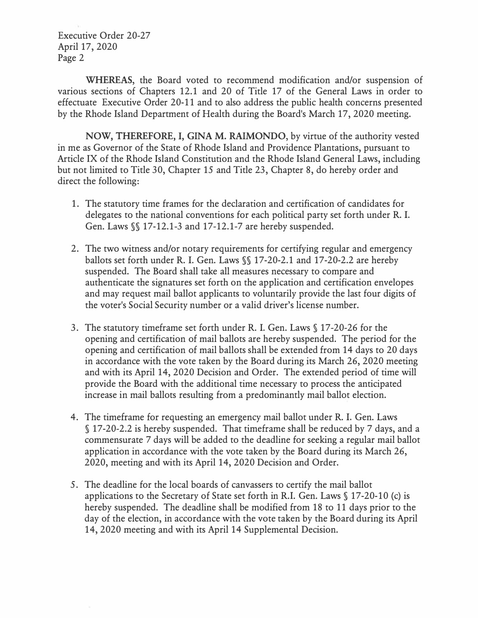Executive Order 20-27 April 17, 2020 Page 2

**WHEREAS,** the Board voted to recommend modification and/or suspension of various sections of Chapters 12.1 and 20 of Title 17 of the General Laws in order to effectuate Executive Order 20-11 and to also address the public health concerns presented by the Rhode Island Department of Health during the Board's March 17, 2020 meeting.

**NOW, THEREFORE,** I, **GINA M. RAIMONDO,** by virtue of the authority vested in me as Governor of the State of Rhode Island and Providence Plantations, pursuant to Article IX of the Rhode Island Constitution and the Rhode Island General Laws, including but not limited to Title 30, Chapter 15 and Title 23, Chapter 8, do hereby order and direct the following:

- 1. The statutory time frames for the declaration and certification of candidates for delegates to the national conventions for each political party set forth under R. **I.** Gen. Laws §§ 17-12.1-3 and 17-12.1-7 are hereby suspended.
- 2. The two witness and/or notary requirements for certifying regular and emergency ballots set forth under R. **I.** Gen. Laws§§ 17-20-2.1 and 17-20-2.2 are hereby suspended. The Board shall take all measures necessary to compare and authenticate the signatures set forth on the application and certification envelopes and may request mail ballot applicants to voluntarily provide the last four digits of the voter's Social Security number or a valid driver's license number.
- 3. The statutory timeframe set forth under R. **I.** Gen. Laws§ 17-20-26 for the opening and certification of mail ballots are hereby suspended. The period for the opening and certification of mail ballots shall be extended from 14 days to 20 days in accordance with the vote taken by the Board during its March 26, 2020 meeting and with its April 14, 2020 Decision and Order. The extended period of time will provide the Board with the additional time necessary to process the anticipated increase in mail ballots resulting from a predominantly mail ballot election.
- 4. The timeframe for requesting an emergency mail ballot under R. **I.** Gen. Laws § 17-20-2.2 is hereby suspended. That timeframe shall be reduced by 7 days, and a commensurate 7 days will be added to the deadline for seeking a regular mail ballot application in accordance with the vote taken by the Board during its March 26, 2020, meeting and with its April 14, 2020 Decision and Order.
- 5. The deadline for the local boards of canvassers to certify the mail ballot applications to the Secretary of State set forth in R.I. Gen. Laws§ 17-20-10 (c) is hereby suspended. The deadline shall be modified from 18 to 11 days prior to the day of the election, in accordance with the vote taken by the Board during its April 14, 2020 meeting and with its April 14 Supplemental Decision.